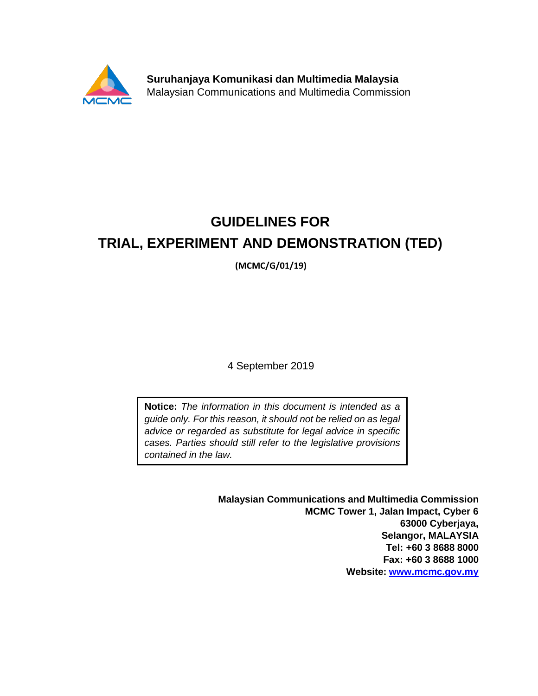

**Suruhanjaya Komunikasi dan Multimedia Malaysia** Malaysian Communications and Multimedia Commission

# **GUIDELINES FOR TRIAL, EXPERIMENT AND DEMONSTRATION (TED)**

**(MCMC/G/01/19)**

4 September 2019

**Notice:** *The information in this document is intended as a guide only. For this reason, it should not be relied on as legal advice or regarded as substitute for legal advice in specific cases. Parties should still refer to the legislative provisions contained in the law.*

> **Malaysian Communications and Multimedia Commission MCMC Tower 1, Jalan Impact, Cyber 6 63000 Cyberjaya, Selangor, MALAYSIA Tel: +60 3 8688 8000 Fax: +60 3 8688 1000 Website: [www.mcmc.gov.my](http://www.mcmc.gov.my/)**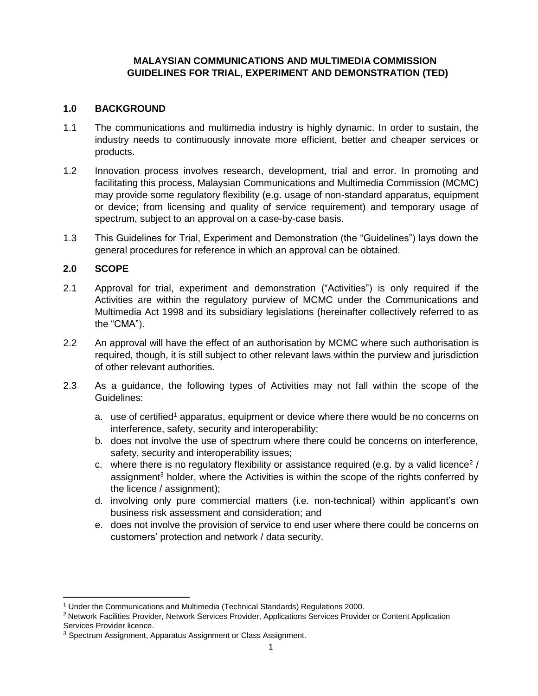# **MALAYSIAN COMMUNICATIONS AND MULTIMEDIA COMMISSION GUIDELINES FOR TRIAL, EXPERIMENT AND DEMONSTRATION (TED)**

# **1.0 BACKGROUND**

- 1.1 The communications and multimedia industry is highly dynamic. In order to sustain, the industry needs to continuously innovate more efficient, better and cheaper services or products.
- 1.2 Innovation process involves research, development, trial and error. In promoting and facilitating this process, Malaysian Communications and Multimedia Commission (MCMC) may provide some regulatory flexibility (e.g. usage of non-standard apparatus, equipment or device; from licensing and quality of service requirement) and temporary usage of spectrum, subject to an approval on a case-by-case basis.
- 1.3 This Guidelines for Trial, Experiment and Demonstration (the "Guidelines") lays down the general procedures for reference in which an approval can be obtained.

# **2.0 SCOPE**

- 2.1 Approval for trial, experiment and demonstration ("Activities") is only required if the Activities are within the regulatory purview of MCMC under the Communications and Multimedia Act 1998 and its subsidiary legislations (hereinafter collectively referred to as the "CMA").
- 2.2 An approval will have the effect of an authorisation by MCMC where such authorisation is required, though, it is still subject to other relevant laws within the purview and jurisdiction of other relevant authorities.
- 2.3 As a guidance, the following types of Activities may not fall within the scope of the Guidelines:
	- a. use of certified<sup>1</sup> apparatus, equipment or device where there would be no concerns on interference, safety, security and interoperability;
	- b. does not involve the use of spectrum where there could be concerns on interference, safety, security and interoperability issues;
	- c. where there is no regulatory flexibility or assistance required (e.g. by a valid licence<sup>2</sup> / assignment<sup>3</sup> holder, where the Activities is within the scope of the rights conferred by the licence / assignment);
	- d. involving only pure commercial matters (i.e. non-technical) within applicant's own business risk assessment and consideration; and
	- e. does not involve the provision of service to end user where there could be concerns on customers' protection and network / data security.

<sup>1</sup> Under the Communications and Multimedia (Technical Standards) Regulations 2000.

<sup>&</sup>lt;sup>2</sup> Network Facilities Provider, Network Services Provider, Applications Services Provider or Content Application Services Provider licence.

<sup>3</sup> Spectrum Assignment, Apparatus Assignment or Class Assignment.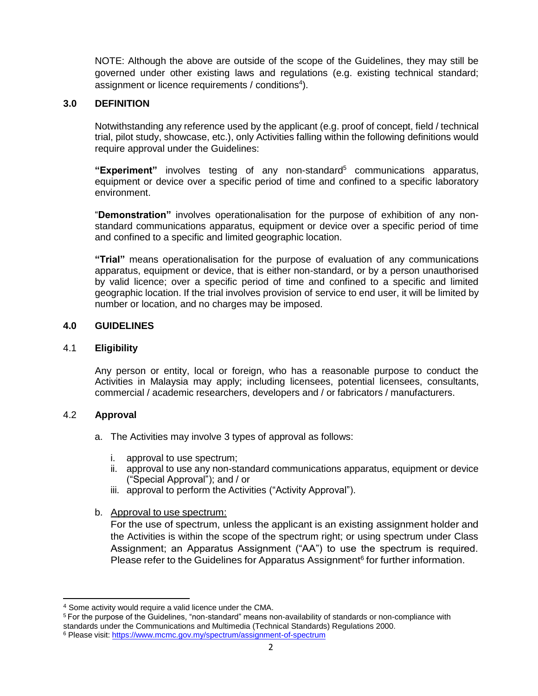NOTE: Although the above are outside of the scope of the Guidelines, they may still be governed under other existing laws and regulations (e.g. existing technical standard; assignment or licence requirements / conditions<sup>4</sup>).

# **3.0 DEFINITION**

Notwithstanding any reference used by the applicant (e.g. proof of concept, field / technical trial, pilot study, showcase, etc.), only Activities falling within the following definitions would require approval under the Guidelines:

**"Experiment"** involves testing of any non-standard<sup>5</sup> communications apparatus, equipment or device over a specific period of time and confined to a specific laboratory environment.

"**Demonstration"** involves operationalisation for the purpose of exhibition of any nonstandard communications apparatus, equipment or device over a specific period of time and confined to a specific and limited geographic location.

**"Trial"** means operationalisation for the purpose of evaluation of any communications apparatus, equipment or device, that is either non-standard, or by a person unauthorised by valid licence; over a specific period of time and confined to a specific and limited geographic location. If the trial involves provision of service to end user, it will be limited by number or location, and no charges may be imposed.

### **4.0 GUIDELINES**

# 4.1 **Eligibility**

Any person or entity, local or foreign, who has a reasonable purpose to conduct the Activities in Malaysia may apply; including licensees, potential licensees, consultants, commercial / academic researchers, developers and / or fabricators / manufacturers.

#### 4.2 **Approval**

- a. The Activities may involve 3 types of approval as follows:
	- i. approval to use spectrum;
	- ii. approval to use any non-standard communications apparatus, equipment or device ("Special Approval"); and / or
	- iii. approval to perform the Activities ("Activity Approval").
- b. Approval to use spectrum:

For the use of spectrum, unless the applicant is an existing assignment holder and the Activities is within the scope of the spectrum right; or using spectrum under Class Assignment; an Apparatus Assignment ("AA") to use the spectrum is required. Please refer to the Guidelines for Apparatus Assignment<sup>6</sup> for further information.

<sup>4</sup> Some activity would require a valid licence under the CMA.

<sup>5</sup>For the purpose of the Guidelines, "non-standard" means non-availability of standards or non-compliance with standards under the Communications and Multimedia (Technical Standards) Regulations 2000.

<sup>&</sup>lt;sup>6</sup> Please visit: <https://www.mcmc.gov.my/spectrum/assignment-of-spectrum>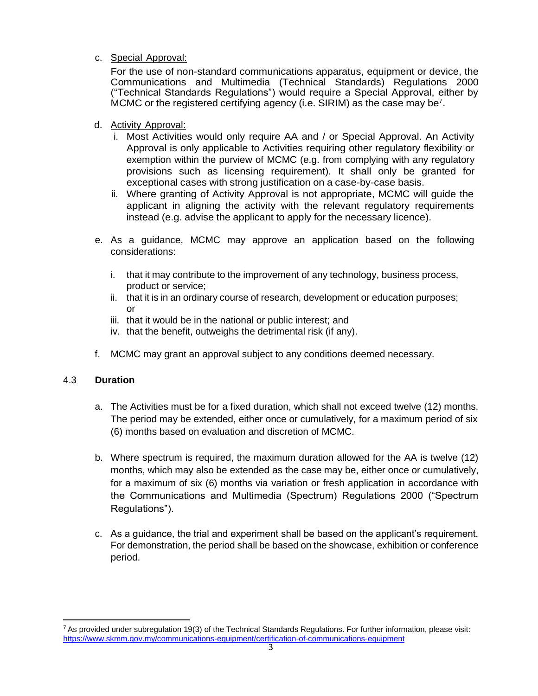c. Special Approval:

For the use of non-standard communications apparatus, equipment or device, the Communications and Multimedia (Technical Standards) Regulations 2000 ("Technical Standards Regulations") would require a Special Approval, either by MCMC or the registered certifying agency (i.e. SIRIM) as the case may be<sup>7</sup>.

- d. Activity Approval:
	- i. Most Activities would only require AA and / or Special Approval. An Activity Approval is only applicable to Activities requiring other regulatory flexibility or exemption within the purview of MCMC (e.g. from complying with any regulatory provisions such as licensing requirement). It shall only be granted for exceptional cases with strong justification on a case-by-case basis.
	- ii. Where granting of Activity Approval is not appropriate, MCMC will guide the applicant in aligning the activity with the relevant regulatory requirements instead (e.g. advise the applicant to apply for the necessary licence).
- e. As a guidance, MCMC may approve an application based on the following considerations:
	- i. that it may contribute to the improvement of any technology, business process, product or service;
	- ii. that it is in an ordinary course of research, development or education purposes; or
	- iii. that it would be in the national or public interest; and
	- iv. that the benefit, outweighs the detrimental risk (if any).
- f. MCMC may grant an approval subject to any conditions deemed necessary.

# 4.3 **Duration**

- a. The Activities must be for a fixed duration, which shall not exceed twelve (12) months. The period may be extended, either once or cumulatively, for a maximum period of six (6) months based on evaluation and discretion of MCMC.
- b. Where spectrum is required, the maximum duration allowed for the AA is twelve (12) months, which may also be extended as the case may be, either once or cumulatively, for a maximum of six (6) months via variation or fresh application in accordance with the Communications and Multimedia (Spectrum) Regulations 2000 ("Spectrum Regulations").
- c. As a guidance, the trial and experiment shall be based on the applicant's requirement. For demonstration, the period shall be based on the showcase, exhibition or conference period.

 $7$  As provided under subregulation 19(3) of the Technical Standards Regulations. For further information, please visit: <https://www.skmm.gov.my/communications-equipment/certification-of-communications-equipment>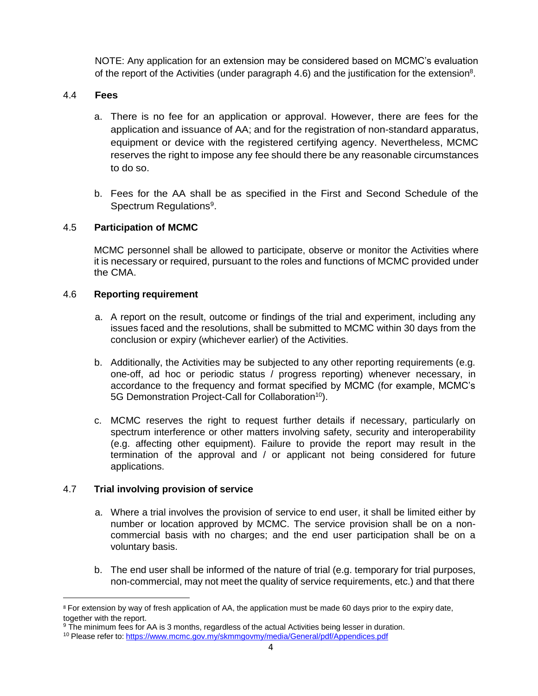NOTE: Any application for an extension may be considered based on MCMC's evaluation of the report of the Activities (under paragraph 4.6) and the justification for the extension<sup>8</sup>.

# 4.4 **Fees**

- a. There is no fee for an application or approval. However, there are fees for the application and issuance of AA; and for the registration of non-standard apparatus, equipment or device with the registered certifying agency. Nevertheless, MCMC reserves the right to impose any fee should there be any reasonable circumstances to do so.
- b. Fees for the AA shall be as specified in the First and Second Schedule of the Spectrum Regulations<sup>9</sup>.

# 4.5 **Participation of MCMC**

MCMC personnel shall be allowed to participate, observe or monitor the Activities where it is necessary or required, pursuant to the roles and functions of MCMC provided under the CMA.

# 4.6 **Reporting requirement**

- a. A report on the result, outcome or findings of the trial and experiment, including any issues faced and the resolutions, shall be submitted to MCMC within 30 days from the conclusion or expiry (whichever earlier) of the Activities.
- b. Additionally, the Activities may be subjected to any other reporting requirements (e.g. one-off, ad hoc or periodic status / progress reporting) whenever necessary, in accordance to the frequency and format specified by MCMC (for example, MCMC's 5G Demonstration Project-Call for Collaboration<sup>10</sup>).
- c. MCMC reserves the right to request further details if necessary, particularly on spectrum interference or other matters involving safety, security and interoperability (e.g. affecting other equipment). Failure to provide the report may result in the termination of the approval and / or applicant not being considered for future applications.

# 4.7 **Trial involving provision of service**

- a. Where a trial involves the provision of service to end user, it shall be limited either by number or location approved by MCMC. The service provision shall be on a noncommercial basis with no charges; and the end user participation shall be on a voluntary basis.
- b. The end user shall be informed of the nature of trial (e.g. temporary for trial purposes, non-commercial, may not meet the quality of service requirements, etc.) and that there

<sup>&</sup>lt;sup>8</sup> For extension by way of fresh application of AA, the application must be made 60 days prior to the expiry date, together with the report.

<sup>&</sup>lt;sup>9</sup> The minimum fees for AA is 3 months, regardless of the actual Activities being lesser in duration.

<sup>10</sup> Please refer to: <https://www.mcmc.gov.my/skmmgovmy/media/General/pdf/Appendices.pdf>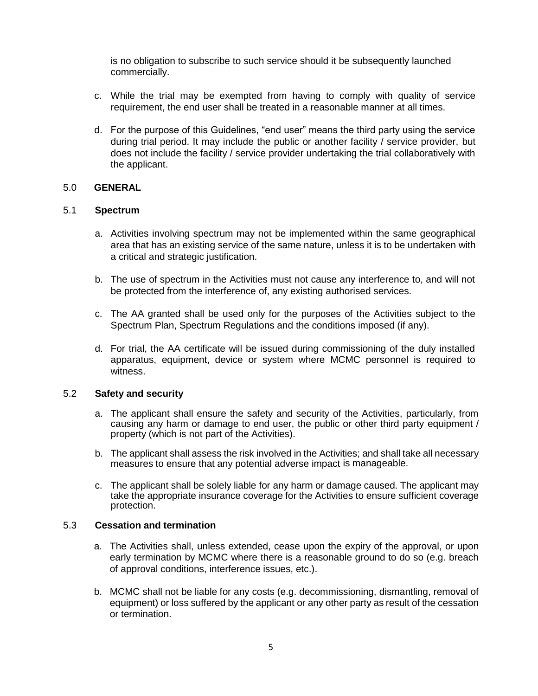is no obligation to subscribe to such service should it be subsequently launched commercially.

- c. While the trial may be exempted from having to comply with quality of service requirement, the end user shall be treated in a reasonable manner at all times.
- d. For the purpose of this Guidelines, "end user" means the third party using the service during trial period. It may include the public or another facility / service provider, but does not include the facility / service provider undertaking the trial collaboratively with the applicant.

### 5.0 **GENERAL**

### 5.1 **Spectrum**

- a. Activities involving spectrum may not be implemented within the same geographical area that has an existing service of the same nature, unless it is to be undertaken with a critical and strategic justification.
- b. The use of spectrum in the Activities must not cause any interference to, and will not be protected from the interference of, any existing authorised services.
- c. The AA granted shall be used only for the purposes of the Activities subject to the Spectrum Plan, Spectrum Regulations and the conditions imposed (if any).
- d. For trial, the AA certificate will be issued during commissioning of the duly installed apparatus, equipment, device or system where MCMC personnel is required to witness.

#### 5.2 **Safety and security**

- a. The applicant shall ensure the safety and security of the Activities, particularly, from causing any harm or damage to end user, the public or other third party equipment / property (which is not part of the Activities).
- b. The applicant shall assess the risk involved in the Activities; and shall take all necessary measures to ensure that any potential adverse impact is manageable.
- c. The applicant shall be solely liable for any harm or damage caused. The applicant may take the appropriate insurance coverage for the Activities to ensure sufficient coverage protection.

#### 5.3 **Cessation and termination**

- a. The Activities shall, unless extended, cease upon the expiry of the approval, or upon early termination by MCMC where there is a reasonable ground to do so (e.g. breach of approval conditions, interference issues, etc.).
- b. MCMC shall not be liable for any costs (e.g. decommissioning, dismantling, removal of equipment) or loss suffered by the applicant or any other party as result of the cessation or termination.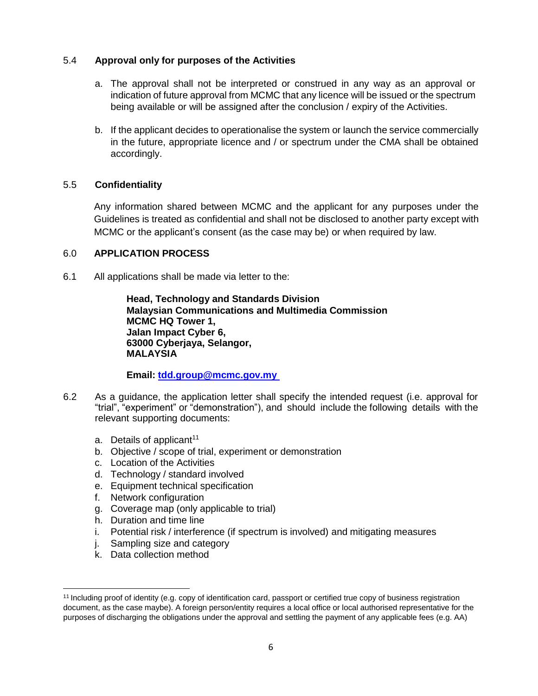# 5.4 **Approval only for purposes of the Activities**

- a. The approval shall not be interpreted or construed in any way as an approval or indication of future approval from MCMC that any licence will be issued or the spectrum being available or will be assigned after the conclusion / expiry of the Activities.
- b. If the applicant decides to operationalise the system or launch the service commercially in the future, appropriate licence and / or spectrum under the CMA shall be obtained accordingly.

# 5.5 **Confidentiality**

Any information shared between MCMC and the applicant for any purposes under the Guidelines is treated as confidential and shall not be disclosed to another party except with MCMC or the applicant's consent (as the case may be) or when required by law.

# 6.0 **APPLICATION PROCESS**

6.1 All applications shall be made via letter to the:

**Head, Technology and Standards Division Malaysian Communications and Multimedia Commission MCMC HQ Tower 1, Jalan Impact Cyber 6, 63000 Cyberjaya, Selangor, MALAYSIA**

# **Email: tdd.group@mcmc.gov.my**

- 6.2 As a guidance, the application letter shall specify the intended request (i.e. approval for "trial", "experiment" or "demonstration"), and should include the following details with the relevant supporting documents:
	- a. Details of applicant<sup>11</sup>
	- b. Objective / scope of trial, experiment or demonstration
	- c. Location of the Activities
	- d. Technology / standard involved
	- e. Equipment technical specification
	- f. Network configuration
	- g. Coverage map (only applicable to trial)
	- h. Duration and time line
	- i. Potential risk / interference (if spectrum is involved) and mitigating measures
	- j. Sampling size and category
	- k. Data collection method

<sup>&</sup>lt;sup>11</sup> Including proof of identity (e.g. copy of identification card, passport or certified true copy of business registration document, as the case maybe). A foreign person/entity requires a local office or local authorised representative for the purposes of discharging the obligations under the approval and settling the payment of any applicable fees (e.g. AA)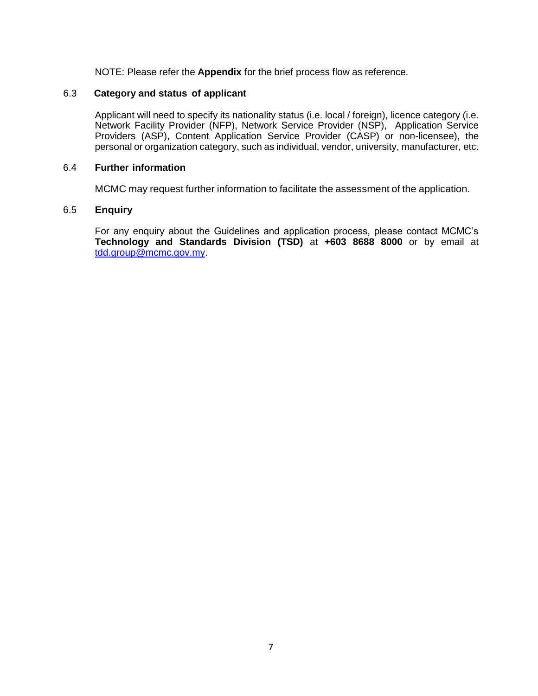NOTE: Please refer the **Appendix** for the brief process flow as reference.

# 6.3 **Category and status of applicant**

Applicant will need to specify its nationality status (i.e. local / foreign), licence category (i.e. Network Facility Provider (NFP), Network Service Provider (NSP), Application Service Providers (ASP), Content Application Service Provider (CASP) or non-licensee), the personal or organization category, such as individual, vendor, university, manufacturer, etc.

#### 6.4 **Further information**

MCMC may request further information to facilitate the assessment of the application.

### 6.5 **Enquiry**

For any enquiry about the Guidelines and application process, please contact MCMC's **Technology and Standards Division (TSD)** at **+603 8688 8000** or by email at [tdd.group@mcmc.gov.my.](mailto:%20tdd.group@mcmc.gov.my)